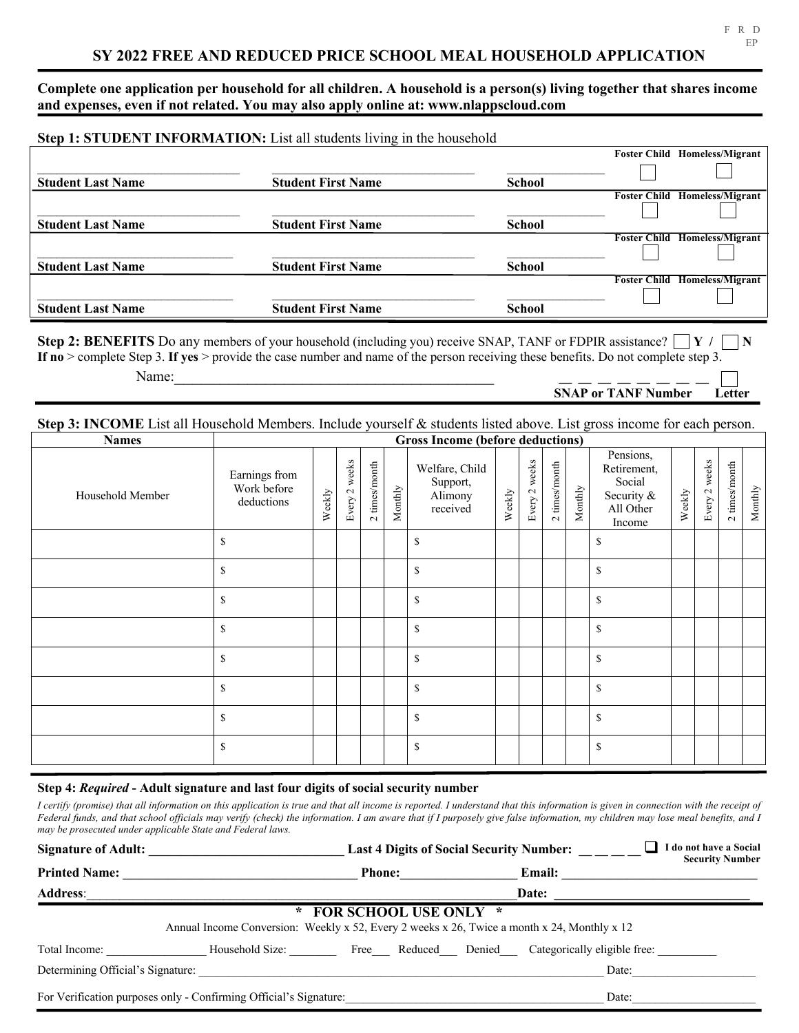**Complete one application per household for all children. A household is a person(s) living together that shares income and expenses, even if not related. You may also apply online at: www.nlappscloud.com**

|                          | Step 1: STUDENT INFORMATION: List all students living in the household |               |                     |                         |
|--------------------------|------------------------------------------------------------------------|---------------|---------------------|-------------------------|
|                          |                                                                        |               | <b>Foster Child</b> | Homeless/Migrant        |
|                          |                                                                        |               |                     |                         |
| <b>Student Last Name</b> | <b>Student First Name</b>                                              | <b>School</b> |                     |                         |
|                          |                                                                        |               | <b>Foster Child</b> | <b>Homeless/Migrant</b> |
|                          |                                                                        |               |                     |                         |
| <b>Student Last Name</b> | <b>Student First Name</b>                                              | <b>School</b> |                     |                         |
|                          |                                                                        |               | <b>Foster Child</b> | Homeless/Migrant        |
|                          |                                                                        |               |                     |                         |
| <b>Student Last Name</b> | <b>Student First Name</b>                                              | <b>School</b> |                     |                         |
|                          |                                                                        |               | <b>Foster Child</b> | <b>Homeless/Migrant</b> |
|                          |                                                                        |               |                     |                         |
| <b>Student Last Name</b> | <b>Student First Name</b>                                              | <b>School</b> |                     |                         |

**Step 2: BENEFITS** Do any members of your household (including you) receive SNAP, TANF or FDPIR assistance? **Y / N If no** > complete Step 3. **If yes** > provide the case number and name of the person receiving these benefits. Do not complete step 3. Name:  $\Box$ 

## **Step 3: INCOME** List all Household Members. Include yourself & students listed above. List gross income for each person.

| <b>Names</b>     | Gross Income (before deductions)           |        |               |                 |         |                                                   |        |               |                 |         |                                                                         |        |               |               |                |
|------------------|--------------------------------------------|--------|---------------|-----------------|---------|---------------------------------------------------|--------|---------------|-----------------|---------|-------------------------------------------------------------------------|--------|---------------|---------------|----------------|
| Household Member | Earnings from<br>Work before<br>deductions | Weekly | Every 2 weeks | $2$ times/month | Monthly | Welfare, Child<br>Support,<br>Alimony<br>received | Weekly | Every 2 weeks | $2$ times/month | Monthly | Pensions,<br>Retirement,<br>Social<br>Security &<br>All Other<br>Income | Weekly | Every 2 weeks | 2 times/month | $\rm{Monthly}$ |
|                  | \$                                         |        |               |                 |         | $\mathbb{S}$                                      |        |               |                 |         | \$                                                                      |        |               |               |                |
|                  | <sup>\$</sup>                              |        |               |                 |         | $\mathbb{S}$                                      |        |               |                 |         | \$                                                                      |        |               |               |                |
|                  | \$                                         |        |               |                 |         | \$                                                |        |               |                 |         | \$                                                                      |        |               |               |                |
|                  | \$                                         |        |               |                 |         | $\mathbb{S}$                                      |        |               |                 |         | \$                                                                      |        |               |               |                |
|                  | <sup>\$</sup>                              |        |               |                 |         | \$                                                |        |               |                 |         | \$                                                                      |        |               |               |                |
|                  | <sup>\$</sup>                              |        |               |                 |         | $\mathbf S$                                       |        |               |                 |         | \$                                                                      |        |               |               |                |
|                  | \$                                         |        |               |                 |         | \$                                                |        |               |                 |         | $\mathbb{S}% _{t}\left( t\right) \equiv\mathbb{S}_{t}\left( t\right)$   |        |               |               |                |
|                  | <sup>\$</sup>                              |        |               |                 |         | $\mathbb{S}$                                      |        |               |                 |         | \$                                                                      |        |               |               |                |

## **Step 4:** *Required* **- Adult signature and last four digits of social security number**

*I certify (promise) that all information on this application is true and that all income is reported. I understand that this information is given in connection with the receipt of Federal funds, and that school officials may verify (check) the information. I am aware that if I purposely give false information, my children may lose meal benefits, and I may be prosecuted under applicable State and Federal laws.*

| <b>Signature of Adult:</b>        |                                                                                             | <b>Last 4 Digits of Social Security Number:</b> |                              |        |                                                  | I do not have a Social<br><b>Security Number</b> |
|-----------------------------------|---------------------------------------------------------------------------------------------|-------------------------------------------------|------------------------------|--------|--------------------------------------------------|--------------------------------------------------|
| <b>Printed Name:</b>              |                                                                                             | Phone:                                          |                              | Email: |                                                  |                                                  |
| <b>Address:</b>                   |                                                                                             |                                                 | Date:                        |        |                                                  |                                                  |
|                                   | Annual Income Conversion: Weekly x 52, Every 2 weeks x 26, Twice a month x 24, Monthly x 12 |                                                 | <b>FOR SCHOOL USE ONLY *</b> |        |                                                  |                                                  |
| Total Income:                     | Household Size:                                                                             |                                                 |                              |        | Free Reduced Denied Categorically eligible free: |                                                  |
| Determining Official's Signature: |                                                                                             |                                                 |                              |        | Date:                                            |                                                  |
|                                   | For Verification purposes only - Confirming Official's Signature:                           |                                                 |                              |        | Date:                                            |                                                  |

**SNAP or TANF Number Letter**